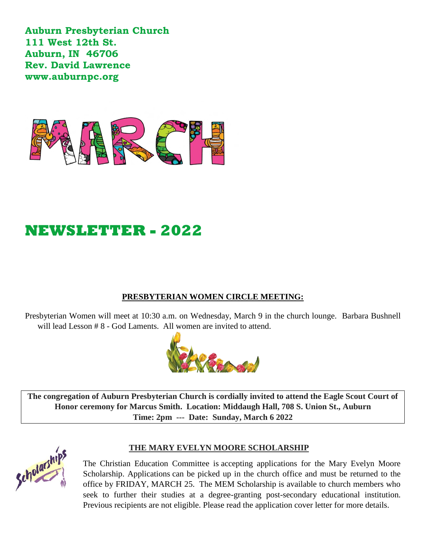**Auburn Presbyterian Church 111 West 12th St. Auburn, IN 46706 Rev. David Lawrence www.auburnpc.org** 



# **NEWSLETTER - 2022**

### **PRESBYTERIAN WOMEN CIRCLE MEETING:**

Presbyterian Women will meet at 10:30 a.m. on Wednesday, March 9 in the church lounge. Barbara Bushnell will lead Lesson # 8 - God Laments. All women are invited to attend.



**The congregation of Auburn Presbyterian Church is cordially invited to attend the Eagle Scout Court of Honor ceremony for Marcus Smith. Location: Middaugh Hall, 708 S. Union St., Auburn Time: 2pm --- Date: Sunday, March 6 2022**



### **THE MARY EVELYN MOORE SCHOLARSHIP**

The Christian Education Committee is accepting applications for the Mary Evelyn Moore Scholarship. Applications can be picked up in the church office and must be returned to the office by FRIDAY, MARCH 25. The MEM Scholarship is available to church members who seek to further their studies at a degree-granting post-secondary educational institution. Previous recipients are not eligible. Please read the application cover letter for more details.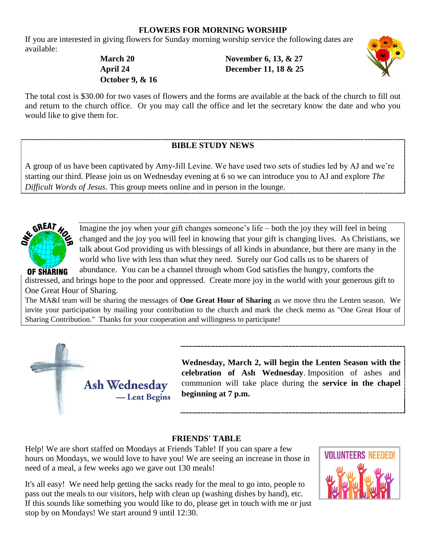### **FLOWERS FOR MORNING WORSHIP**

If you are interested in giving flowers for Sunday morning worship service the following dates are available:

**March 20 April 24 October 9, & 16** 

**November 6, 13, & 27 December 11, 18 & 25** 



The total cost is \$30.00 for two vases of flowers and the forms are available at the back of the church to fill out and return to the church office. Or you may call the office and let the secretary know the date and who you would like to give them for.

## **BIBLE STUDY NEWS**

A group of us have been captivated by Amy-Jill Levine. We have used two sets of studies led by AJ and we're starting our third. Please join us on Wednesday evening at 6 so we can introduce you to AJ and explore *The Difficult Words of Jesus*. This group meets online and in person in the lounge.



Imagine the joy when your gift changes someone's life – both the joy they will feel in being changed and the joy you will feel in knowing that your gift is changing lives. As Christians, we talk about God providing us with blessings of all kinds in abundance, but there are many in the world who live with less than what they need. Surely our God calls us to be sharers of

abundance. You can be a channel through whom God satisfies the hungry, comforts the **RING** distressed, and brings hope to the poor and oppressed. Create more joy in the world with your generous gift to One Great Hour of Sharing.

The MA&I team will be sharing the messages of **One Great Hour of Sharing** as we move thru the Lenten season. We invite your participation by mailing your contribution to the church and mark the check memo as "One Great Hour of Sharing Contribution." Thanks for your cooperation and willingness to participate!



**Wednesday, March 2, will begin the Lenten Season with the celebration of Ash Wednesday**. Imposition of ashes and communion will take place during the **service in the chapel beginning at 7 p.m.** 

### **FRIENDS' TABLE**

Help! We are short staffed on Mondays at Friends Table! If you can spare a few hours on Mondays, we would love to have you! We are seeing an increase in those in need of a meal, a few weeks ago we gave out 130 meals!

It's all easy! We need help getting the sacks ready for the meal to go into, people to pass out the meals to our visitors, help with clean up (washing dishes by hand), etc. If this sounds like something you would like to do, please get in touch with me or just stop by on Mondays! We start around 9 until 12:30.

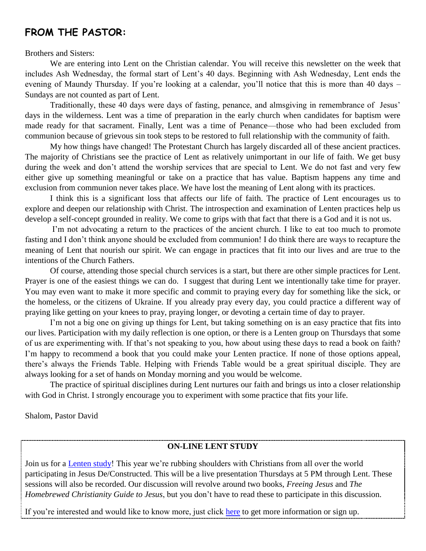# **FROM THE PASTOR:**

Brothers and Sisters:

 We are entering into Lent on the Christian calendar. You will receive this newsletter on the week that includes Ash Wednesday, the formal start of Lent's 40 days. Beginning with Ash Wednesday, Lent ends the evening of Maundy Thursday. If you're looking at a calendar, you'll notice that this is more than 40 days – Sundays are not counted as part of Lent.

Traditionally, these 40 days were days of fasting, penance, and almsgiving in remembrance of Jesus' days in the wilderness. Lent was a time of preparation in the early church when candidates for baptism were made ready for that sacrament. Finally, Lent was a time of Penance—those who had been excluded from communion because of grievous sin took steps to be restored to full relationship with the community of faith.

 My how things have changed! The Protestant Church has largely discarded all of these ancient practices. The majority of Christians see the practice of Lent as relatively unimportant in our life of faith. We get busy during the week and don't attend the worship services that are special to Lent. We do not fast and very few either give up something meaningful or take on a practice that has value. Baptism happens any time and exclusion from communion never takes place. We have lost the meaning of Lent along with its practices.

 I think this is a significant loss that affects our life of faith. The practice of Lent encourages us to explore and deepen our relationship with Christ. The introspection and examination of Lenten practices help us develop a self-concept grounded in reality. We come to grips with that fact that there is a God and it is not us.

I'm not advocating a return to the practices of the ancient church. I like to eat too much to promote fasting and I don't think anyone should be excluded from communion! I do think there are ways to recapture the meaning of Lent that nourish our spirit. We can engage in practices that fit into our lives and are true to the intentions of the Church Fathers.

Of course, attending those special church services is a start, but there are other simple practices for Lent. Prayer is one of the easiest things we can do. I suggest that during Lent we intentionally take time for prayer. You may even want to make it more specific and commit to praying every day for something like the sick, or the homeless, or the citizens of Ukraine. If you already pray every day, you could practice a different way of praying like getting on your knees to pray, praying longer, or devoting a certain time of day to prayer.

I'm not a big one on giving up things for Lent, but taking something on is an easy practice that fits into our lives. Participation with my daily reflection is one option, or there is a Lenten group on Thursdays that some of us are experimenting with. If that's not speaking to you, how about using these days to read a book on faith? I'm happy to recommend a book that you could make your Lenten practice. If none of those options appeal, there's always the Friends Table. Helping with Friends Table would be a great spiritual disciple. They are always looking for a set of hands on Monday morning and you would be welcome.

The practice of spiritual disciplines during Lent nurtures our faith and brings us into a closer relationship with God in Christ. I strongly encourage you to experiment with some practice that fits your life.

Shalom, Pastor David

### **ON-LINE LENT STUDY**

Join us for a [Lenten study](https://homebrewedchristianity.lpages.co/jesusdeconstructed/)! This year we're rubbing shoulders with Christians from all over the world participating in Jesus De/Constructed. This will be a live presentation Thursdays at 5 PM through Lent. These sessions will also be recorded. Our discussion will revolve around two books, *Freeing Jesus* and *The Homebrewed Christianity Guide to Jesus*, but you don't have to read these to participate in this discussion.

If you're interested and would like to know more, just click [here](https://homebrewedchristianity.lpages.co/jesusdeconstructed/) to get more information or sign up.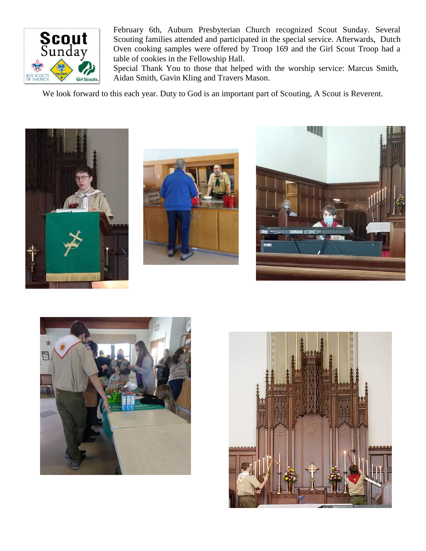

February 6th, Auburn Presbyterian Church recognized Scout Sunday. Several Scouting families attended and participated in the special service. Afterwards, Dutch Oven cooking samples were offered by Troop 169 and the Girl Scout Troop had a table of cookies in the Fellowship Hall.

Special Thank You to those that helped with the worship service: Marcus Smith, Aidan Smith, Gavin Kling and Travers Mason.

We look forward to this each year. Duty to God is an important part of Scouting, A Scout is Reverent.